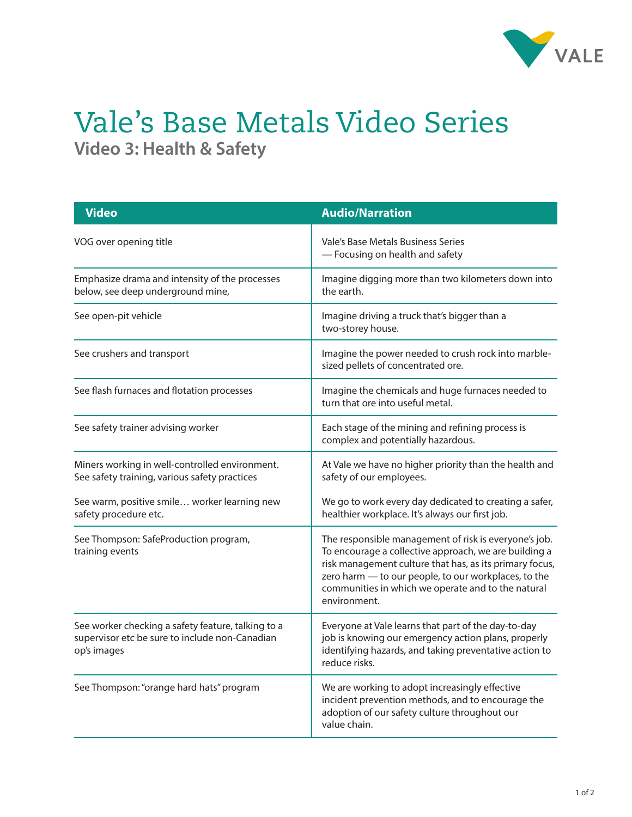

## Vale's Base Metals Video Series **Video 3: Health & Safety**

| <b>Video</b>                                                                                                        | <b>Audio/Narration</b>                                                                                                                                                                                                                                                                                  |
|---------------------------------------------------------------------------------------------------------------------|---------------------------------------------------------------------------------------------------------------------------------------------------------------------------------------------------------------------------------------------------------------------------------------------------------|
| VOG over opening title                                                                                              | Vale's Base Metals Business Series<br>- Focusing on health and safety                                                                                                                                                                                                                                   |
| Emphasize drama and intensity of the processes<br>below, see deep underground mine,                                 | Imagine digging more than two kilometers down into<br>the earth.                                                                                                                                                                                                                                        |
| See open-pit vehicle                                                                                                | Imagine driving a truck that's bigger than a<br>two-storey house.                                                                                                                                                                                                                                       |
| See crushers and transport                                                                                          | Imagine the power needed to crush rock into marble-<br>sized pellets of concentrated ore.                                                                                                                                                                                                               |
| See flash furnaces and flotation processes                                                                          | Imagine the chemicals and huge furnaces needed to<br>turn that ore into useful metal.                                                                                                                                                                                                                   |
| See safety trainer advising worker                                                                                  | Each stage of the mining and refining process is<br>complex and potentially hazardous.                                                                                                                                                                                                                  |
| Miners working in well-controlled environment.<br>See safety training, various safety practices                     | At Vale we have no higher priority than the health and<br>safety of our employees.                                                                                                                                                                                                                      |
| See warm, positive smile worker learning new<br>safety procedure etc.                                               | We go to work every day dedicated to creating a safer,<br>healthier workplace. It's always our first job.                                                                                                                                                                                               |
| See Thompson: SafeProduction program,<br>training events                                                            | The responsible management of risk is everyone's job.<br>To encourage a collective approach, we are building a<br>risk management culture that has, as its primary focus,<br>zero harm - to our people, to our workplaces, to the<br>communities in which we operate and to the natural<br>environment. |
| See worker checking a safety feature, talking to a<br>supervisor etc be sure to include non-Canadian<br>op's images | Everyone at Vale learns that part of the day-to-day<br>job is knowing our emergency action plans, properly<br>identifying hazards, and taking preventative action to<br>reduce risks.                                                                                                                   |
| See Thompson: "orange hard hats" program                                                                            | We are working to adopt increasingly effective<br>incident prevention methods, and to encourage the<br>adoption of our safety culture throughout our<br>value chain.                                                                                                                                    |